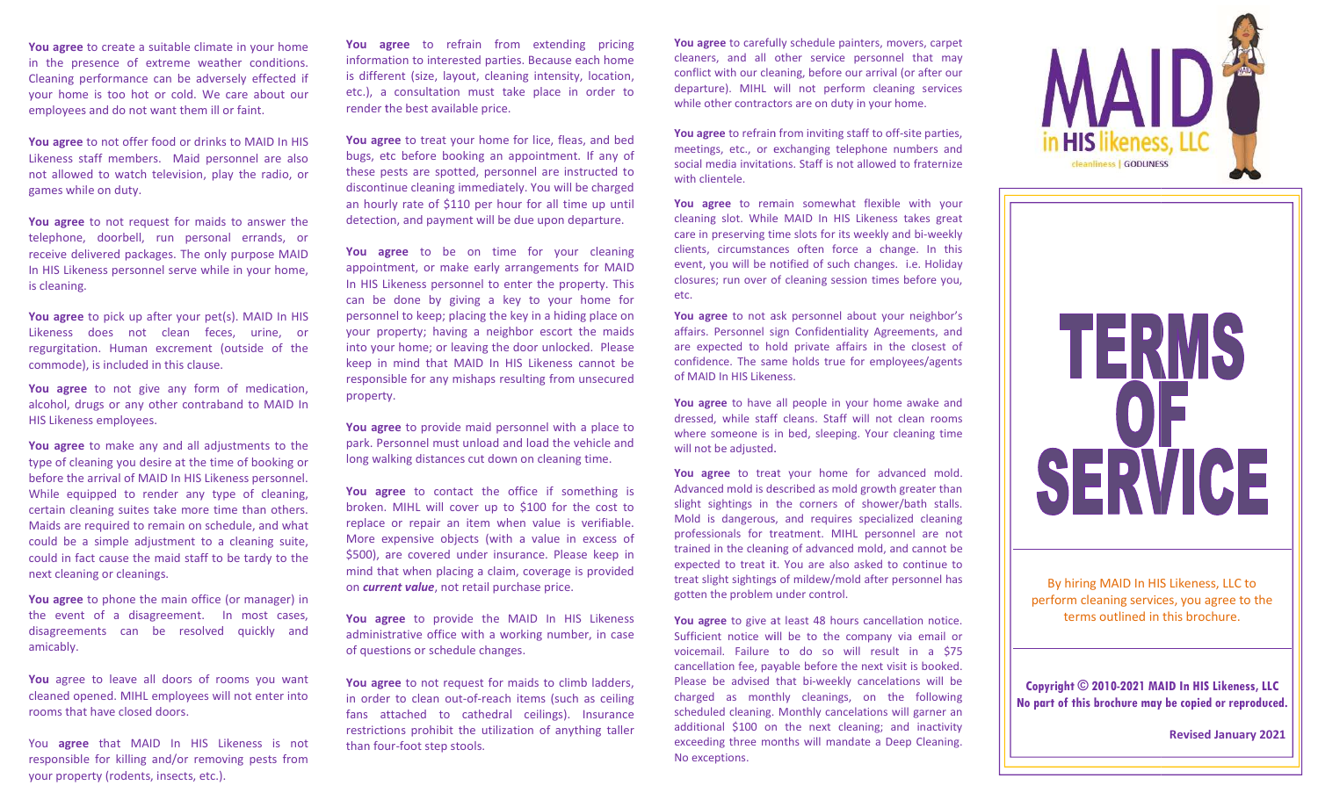You agree to create a suitable climate in your home in the presence of extreme weather conditions. Cleaning performance can be adversely effected if your home is too hot or cold. We care about our employees and do not want them ill or faint.

You agree to not offer food or drinks to MAID In HIS Likeness staff members. Maid personnel are also not allowed to watch television, play the radio, or games while on duty.

You agree to not request for maids to answer the telephone, doorbell, run personal errands, or receive delivered packages. The only purpose MAID In HIS Likeness personnel serve while in your home, is cleaning.

You agree to pick up after your pet(s). MAID In HIS Likeness does not clean feces, urine, or regurgitation. Human excrement (outside of the commode), is included in this clause.

You agree to not give any form of medication, alcohol, drugs or any other contraband to MAID In HIS Likeness employees.

You agree to make any and all adjustments to the type of cleaning you desire at the time of booking or before the arrival of MAID In HIS Likeness personnel. While equipped to render any type of cleaning, certain cleaning suites take more time than others. Maids are required to remain on schedule, and what could be a simple adjustment to a cleaning suite, could in fact cause the maid staff to be tardy to the next cleaning or cleanings.

You agree to phone the main office (or manager) in the event of a disagreement. In most cases, disagreements can be resolved quickly and amicably.

You agree to leave all doors of rooms you want cleaned opened. MIHL employees will not enter into rooms that have closed doors.

You agree that MAID In HIS Likeness is not responsible for killing and/or removing pests from your property (rodents, insects, etc.).

You agree to refrain from extending pricing information to interested parties. Because each home is different (size, layout, cleaning intensity, location, etc.), a consultation must take place in order to render the best available price.

You agree to treat your home for lice, fleas, and bed bugs, etc before booking an appointment. If any of these pests are spotted, personnel are instructed to discontinue cleaning immediately. You will be charged an hourly rate of \$ \$110 per hour for all time up until detection, and payment will be due upon departure.

You agree to be on time for your cleaning appointment, or make early arrangements for MAID In HIS Likeness personnel to enter the property. This can be done by giving a key to your home for personnel to keep; placing the key in a hiding place on your property; having a neighbor escort the maids into your home; or leaving the door unlocked. Please keep in mind that MAID In HIS Likeness cannot be responsible for any mishaps resulting from unsecured property property.

You agree to provide maid personnel with a place to park. Personnel must unload and load the vehicle and long walking distances cut down on cleaning time.

You agree to contact the office if something is broken. MIHL will cover up to \$100 for the cost to replace or repair an item when value is verifiable. More expensive objects (with a value in excess of \$500), are covered under insurance. Please keep in mind that when placing a claim, coverage is provided on current value, not retail purchase price.

You agree to provide the MAID In HIS Likeness administrative office with a working number, in case of questions or schedule changes.

You agree to not request for maids to climb ladders, in order to clean out-of-reach items (such as ceiling fans attached to cathedral ceilings). Insurance restrictions prohibit the utilization of anything taller than four four-foot step stools.

You agree to carefully schedule painters, movers, carpet cleaners, and all other service personnel that may cleaners, and all other service personnel that may<br>conflict with our cleaning, before our arrival (or after our departure). MIHL will not perform cleaning services while other contractors are on duty in your home.

You agree to refrain from inviting staff to off-site parties, meetings, etc., or exchanging telephone numbers and meetings, etc., or exchanging telephone numbers and<br>social media invitations. Staff is not allowed to fraternize with clientele.

You agree to remain somewhat flexible with your cleaning slot. While MAID In HIS Likeness takes great care in preserving time slots for its weekly and bi-weekly clients, circumstances often force a change. In this event, you will be notified of such changes. i.e. Holiday closures; run over of cleaning session times before you, event, you will be notified of such changes. i.e. Holiday closures; run over of cleaning session times before you, etc.

You agree to not ask personnel about your neighbor's affairs. Personnel sign Confidentiality Agreements, and are expected to hold private affairs in the closest of confidence. The same holds true for employees/agents of MAID In HIS Likeness. nel sign Confidentiality Agreements, and<br>to hold private affairs in the closest of<br>e same holds true for employees/agents<br>Likeness.

You agree to have all people in your home awake and<br>dressed, while staff cleans. Staff will not clean rooms dressed, while staff cleans. Staff will not clean rooms where someone is in bed, sleeping. Your cleaning time will not be adjusted.

You agree to treat your home for advanced mold. Advanced mold is described as mold growth greater than slight sightings in the corners of shower/bath stalls. Mold is dangerous, and requires specialized cleaning professionals for treatment. MIHL personnel are not trained in the cleaning of advanced mold, and cannot be expected to treat it. You are also asked to continue to treat slight sightings of mildew/mold after personnel has gotten the problem under control. slight sightings in the corners of shower/bath stalls.<br>Mold is dangerous, and requires specialized cleaning<br>professionals for treatment. MIHL personnel are not

You agree to give at least 48 hours cancellation notice. Sufficient notice will be to the company via email or voicemail. Failure to do so will result in a \$ cancellation fee, payable before the next visit is booked. Please be advised that bi-weekly cancelations will be charged as monthly cleanings, on the following scheduled cleaning. Monthly cancelations will garner an additional \$100 on the next cleaning; and inactivity exceeding three months will mandate a Deep Cleaning. No exceptions. to give at least 48 hours cancellation notice.<br>notice will be to the company via email or<br>Failure to do so will result in a \$75 From cleaning services, you agree to the<br>
hours cancellation notice.<br>
The company via email or<br>
o will result in a \$75<br>
re the next visit is booked.<br>
eekly cancelations will be<br>
ings, on the following<br>
cancelations will ga



By hiring MAID In HIS Likeness, LLC to perform cleaning services, you agree to the terms outlined in this brochure.

## Copyright © 2010-2021 MAID In HIS Likeness, LLC No part of this brochure may be copied or reproduced.

Revised January 2021